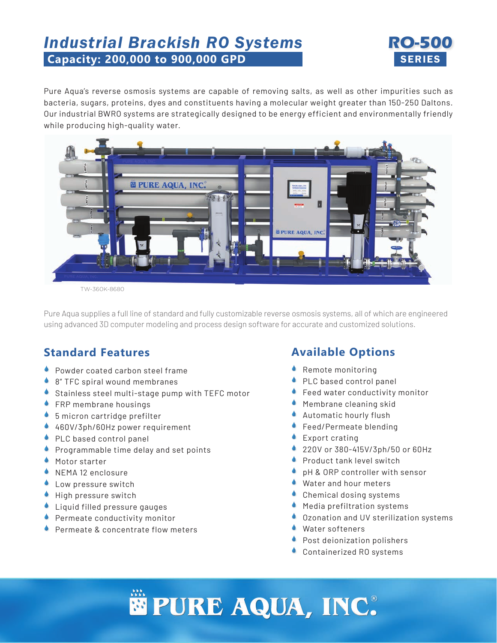## *Industrial Brackish RO Systems* **RO-500 Capacity: 200,000 to 900,000 GPD SERIES**



Pure Aqua's reverse osmosis systems are capable of removing salts, as well as other impurities such as bacteria, sugars, proteins, dyes and constituents having a molecular weight greater than 150-250 Daltons. Our industrial BWRO systems are strategically designed to be energy efficient and environmentally friendly while producing high-quality water.



TW-360K-8680

Pure Aqua supplies a full line of standard and fully customizable reverse osmosis systems, all of which are engineered using advanced 3D computer modeling and process design software for accurate and customized solutions.

#### **Standard Features**

- **Powder coated carbon steel frame**
- 8" TFC spiral wound membranes
- Stainless steel multi-stage pump with TEFC motor
- **FRP** membrane housings
- ◆ 5 micron cartridge prefilter
- ◆ 460V/3ph/60Hz power requirement
- PLC based control panel
- **Programmable time delay and set points**
- **Motor starter**
- NEMA 12 enclosure
- Low pressure switch
- $\bullet$  High pressure switch
- Liquid filled pressure gauges
- Permeate conductivity monitor  $\blacklozenge$
- Permeate & concentrate flow meters  $\blacklozenge$

### **Available Options**

- ◆ Remote monitoring
- PLC based control panel  $\blacklozenge$
- Feed water conductivity monitor  $\blacklozenge$
- Membrane cleaning skid
- Automatic hourly flush  $\blacklozenge$
- Feed/Permeate blending  $\blacklozenge$
- **Export crating**
- 220V or 380-415V/3ph/50 or 60Hz  $\blacklozenge$
- Product tank level switch  $\blacklozenge$
- pH & ORP controller with sensor  $\blacklozenge$
- Water and hour meters  $\blacklozenge$
- Chemical dosing systems  $\blacklozenge$
- Media prefiltration systems
- Ozonation and UV sterilization systems  $\blacklozenge$
- Water softeners  $\blacklozenge$
- **CO** Post deionization polishers
- Containerized RO systems

# $PURE$  **AQUA, INC.**